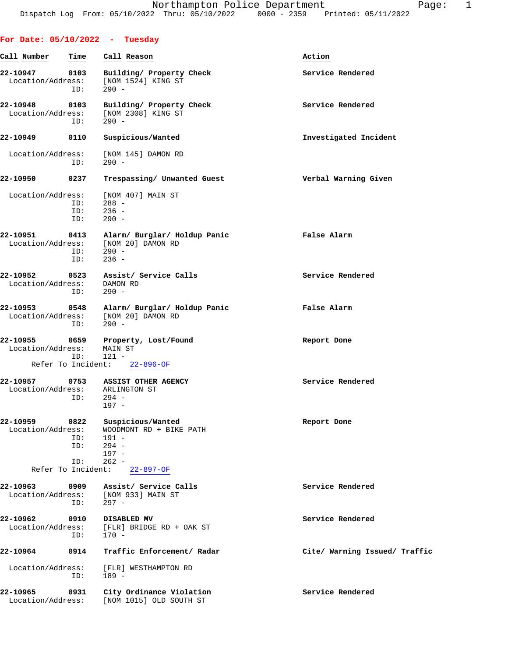| For Date: $05/10/2022 - Tuesday$ |                    |                                                                         |                               |
|----------------------------------|--------------------|-------------------------------------------------------------------------|-------------------------------|
| Call Number                      | Time               | Call Reason                                                             | Action                        |
| 22-10947<br>Location/Address:    | 0103<br>ID:        | Building/ Property Check<br>[NOM 1524] KING ST<br>$290 -$               | Service Rendered              |
| 22-10948<br>Location/Address:    | 0103<br>ID:        | Building/ Property Check<br>[NOM 2308] KING ST<br>$290 -$               | Service Rendered              |
| 22-10949                         | 0110               | Suspicious/Wanted                                                       | Investigated Incident         |
| Location/Address:                | ID:                | [NOM 145] DAMON RD<br>$290 -$                                           |                               |
| 22-10950                         | 0237               | Trespassing/ Unwanted Guest                                             | Verbal Warning Given          |
| Location/Address:                | ID:<br>ID:<br>ID:  | [NOM 407] MAIN ST<br>$288 -$<br>$236 -$<br>$290 -$                      |                               |
| 22-10951<br>Location/Address:    | 0413<br>ID:<br>ID: | Alarm/ Burglar/ Holdup Panic<br>[NOM 20] DAMON RD<br>$290 -$<br>$236 -$ | False Alarm                   |
| 22-10952<br>Location/Address:    | 0523<br>ID:        | Assist/ Service Calls<br>DAMON RD<br>$290 -$                            | Service Rendered              |
| 22-10953<br>Location/Address:    | 0548<br>ID:        | Alarm/ Burglar/ Holdup Panic<br>[NOM 20] DAMON RD<br>$290 -$            | False Alarm                   |
| 22-10955<br>Location/Address:    | 0659<br>ID:        | Property, Lost/Found<br>MAIN ST<br>$121 -$                              | Report Done                   |
| Refer To Incident:               |                    | $22 - 896 - OF$                                                         |                               |
| 22-10957<br>Location/Address:    | 0753<br>ID:        | <b>ASSIST OTHER AGENCY</b><br>ARLINGTON ST<br>$294 -$<br>$197 -$        | Service Rendered              |
| 22-10959<br>Location/Address:    | 0822<br>ID:        | Suspicious/Wanted<br>WOODMONT RD + BIKE PATH<br>$191 -$                 | Report Done                   |
|                                  | ID:<br>ID:         | $294 -$<br>$197 -$<br>$262 -$                                           |                               |
|                                  | Refer To Incident: | $22 - 897 - OF$                                                         |                               |
| 22-10963<br>Location/Address:    | 0909<br>ID:        | Assist/ Service Calls<br>[NOM 933] MAIN ST<br>$297 -$                   | Service Rendered              |
| 22-10962<br>Location/Address:    | 0910<br>ID:        | DISABLED MV<br>[FLR] BRIDGE RD + OAK ST<br>$170 -$                      | Service Rendered              |
| 22-10964                         | 0914               | Traffic Enforcement/ Radar                                              | Cite/ Warning Issued/ Traffic |
| Location/Address:                | ID:                | [FLR] WESTHAMPTON RD<br>$189 -$                                         |                               |
| 22-10965<br>Location/Address:    | 0931               | City Ordinance Violation<br>[NOM 1015] OLD SOUTH ST                     | Service Rendered              |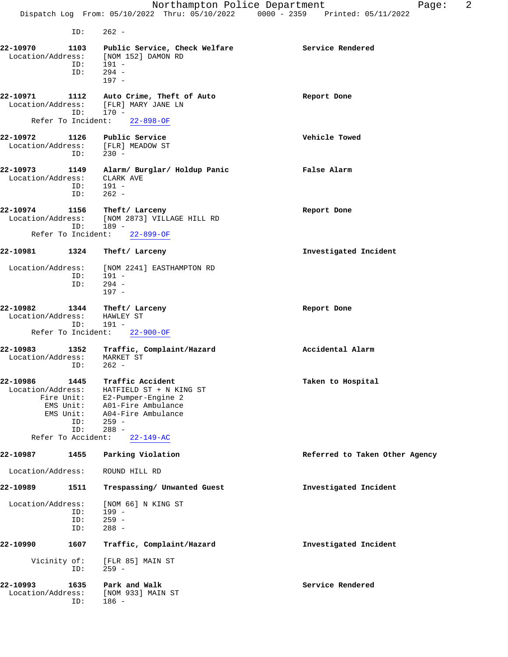ID: 262 -

**22-10970 1103 Public Service, Check Welfare Service Rendered** Location/Address: [NOM 152] DAMON RD ID: 191 - ID: 294 - 197 - **22-10971 1112 Auto Crime, Theft of Auto Report Done** Location/Address: [FLR] MARY JANE LN ID: 170 - Refer To Incident: 22-898-OF **22-10972 1126 Public Service Vehicle Towed** Location/Address: [FLR] MEADOW ST<br>ID: 230 - $ID:$ **22-10973 1149 Alarm/ Burglar/ Holdup Panic False Alarm** Location/Address: CLARK AVE ID: 191 - ID: 262 - **22-10974 1156 Theft/ Larceny Report Done** Location/Address: [NOM 2873] VILLAGE HILL RD<br>ID: 189 - ID: 189 - Refer To Incident: 22-899-OF **22-10981 1324 Theft/ Larceny Investigated Incident** Location/Address: [NOM 2241] EASTHAMPTON RD<br>ID: 191 - ID: 191 - ID: 294 - 197 - **22-10982 1344 Theft/ Larceny Report Done** Location/Address: HAWLEY ST<br>ID: 191 - ID: 191 - Refer To Incident: 22-900-OF **22-10983 1352 Traffic, Complaint/Hazard Accidental Alarm** Location/Address: MARKET ST ID: 262 - **22-10986 1445 Traffic Accident Taken to Hospital** Location/Address: HATFIELD ST + N KING ST Fire Unit: E2-Pumper-Engine 2 EMS Unit: A01-Fire Ambulance EMS Unit: A04-Fire Ambulance ID: 259 - ID: 288 - Refer To Accident: 22-149-AC **22-10987 1455 Parking Violation Referred to Taken Other Agency** Location/Address: ROUND HILL RD **22-10989 1511 Trespassing/ Unwanted Guest Investigated Incident** Location/Address: [NOM 66] N KING ST<br>ID: 199 - ID: 199 - ID: 259 -<br>ID: 288 -288 -**22-10990 1607 Traffic, Complaint/Hazard Investigated Incident** Vicinity of: [FLR 85] MAIN ST<br>ID: 259 - $259 -$ **22-10993 1635 Park and Walk Service Rendered** Location/Address: [NOM 933] MAIN ST ID: 186 -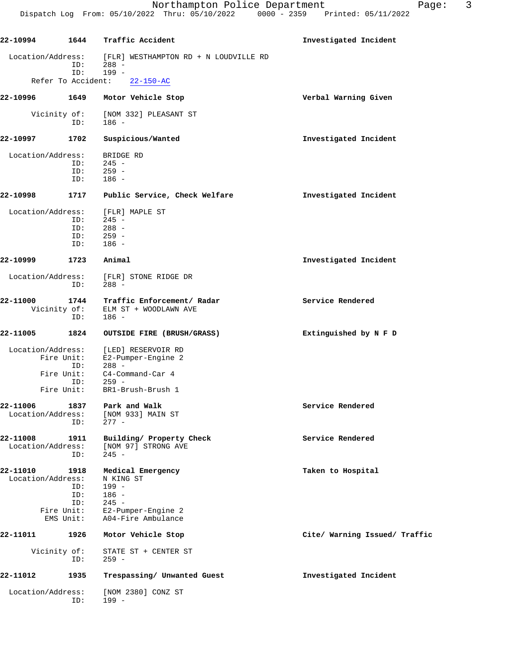| 22-10994                        | 1644 | Traffic Accident                                    | Investigated Incident         |
|---------------------------------|------|-----------------------------------------------------|-------------------------------|
| Location/Address:               | ID:  | [FLR] WESTHAMPTON RD + N LOUDVILLE RD<br>$288 -$    |                               |
| Refer To Accident:              | ID:  | $199 -$<br>$22 - 150 - AC$                          |                               |
| 22-10996                        | 1649 | Motor Vehicle Stop                                  | Verbal Warning Given          |
| Vicinity of:                    | ID:  | [NOM 332] PLEASANT ST<br>186 -                      |                               |
| 22-10997                        | 1702 | Suspicious/Wanted                                   | Investigated Incident         |
|                                 |      |                                                     |                               |
| Location/Address:               |      | BRIDGE RD                                           |                               |
|                                 | ID:  | $245 -$                                             |                               |
|                                 | ID:  | $259 -$                                             |                               |
|                                 | ID:  | $186 -$                                             |                               |
| 22-10998                        | 1717 | Public Service, Check Welfare                       | Investigated Incident         |
| Location/Address:               |      | [FLR] MAPLE ST                                      |                               |
|                                 | ID:  | $245 -$                                             |                               |
|                                 | ID:  | $288 -$                                             |                               |
|                                 | ID:  | $259 -$                                             |                               |
|                                 | ID:  | $186 -$                                             |                               |
| 22-10999                        | 1723 | Animal                                              | Investigated Incident         |
| Location/Address:               | ID:  | [FLR] STONE RIDGE DR<br>$288 -$                     |                               |
| 22-11000                        | 1744 | Traffic Enforcement/ Radar                          | Service Rendered              |
| Vicinity of:                    | ID:  | ELM ST + WOODLAWN AVE<br>$186 -$                    |                               |
| 22-11005                        | 1824 | OUTSIDE FIRE (BRUSH/GRASS)                          | Extinguished by N F D         |
| Location/Address:<br>Fire Unit: | ID:  | [LED] RESERVOIR RD<br>E2-Pumper-Engine 2<br>$288 -$ |                               |
| Fire Unit:                      |      | C4-Command-Car 4                                    |                               |
| Fire Unit:                      | ID:  | $259 -$<br>BR1-Brush-Brush 1                        |                               |
| 22-11006                        | 1837 | Park and Walk                                       | Service Rendered              |
| Location/Address:               | ID:  | [NOM 933] MAIN ST<br>$277 -$                        |                               |
| 22-11008<br>Location/Address:   | 1911 | Building/ Property Check<br>[NOM 97] STRONG AVE     | Service Rendered              |
|                                 | ID:  | $245 -$                                             |                               |
| 22-11010                        | 1918 | Medical Emergency                                   | Taken to Hospital             |
| Location/Address:               |      | N KING ST                                           |                               |
|                                 | ID:  | $199 -$                                             |                               |
|                                 | ID:  | $186 -$                                             |                               |
|                                 | ID:  | $245 -$                                             |                               |
| Fire Unit:                      |      | E2-Pumper-Engine 2                                  |                               |
| EMS Unit:                       |      | A04-Fire Ambulance                                  |                               |
| 22-11011                        | 1926 | Motor Vehicle Stop                                  | Cite/ Warning Issued/ Traffic |
| Vicinity of:                    | ID:  | STATE ST + CENTER ST<br>$259 -$                     |                               |
| 22-11012                        | 1935 | Trespassing/ Unwanted Guest                         | Investigated Incident         |
| Location/Address:               |      | [NOM 2380] CONZ ST                                  |                               |
|                                 | ID:  | $199 -$                                             |                               |